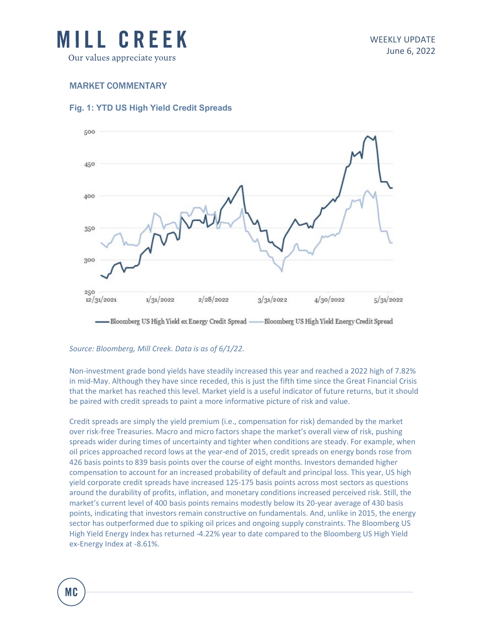

### MARKET COMMENTARY

### **Fig. 1: YTD US High Yield Credit Spreads**



# *Source: Bloomberg, Mill Creek. Data is as of 6/1/22.*

Non-investment grade bond yields have steadily increased this year and reached a 2022 high of 7.82% in mid-May. Although they have since receded, this is just the fifth time since the Great Financial Crisis that the market has reached this level. Market yield is a useful indicator of future returns, but it should be paired with credit spreads to paint a more informative picture of risk and value.

Credit spreads are simply the yield premium (i.e., compensation for risk) demanded by the market over risk-free Treasuries. Macro and micro factors shape the market's overall view of risk, pushing spreads wider during times of uncertainty and tighter when conditions are steady. For example, when oil prices approached record lows at the year-end of 2015, credit spreads on energy bonds rose from 426 basis points to 839 basis points over the course of eight months. Investors demanded higher compensation to account for an increased probability of default and principal loss. This year, US high yield corporate credit spreads have increased 125-175 basis points across most sectors as questions around the durability of profits, inflation, and monetary conditions increased perceived risk. Still, the market's current level of 400 basis points remains modestly below its 20-year average of 430 basis points, indicating that investors remain constructive on fundamentals. And, unlike in 2015, the energy sector has outperformed due to spiking oil prices and ongoing supply constraints. The Bloomberg US High Yield Energy Index has returned -4.22% year to date compared to the Bloomberg US High Yield ex-Energy Index at -8.61%.